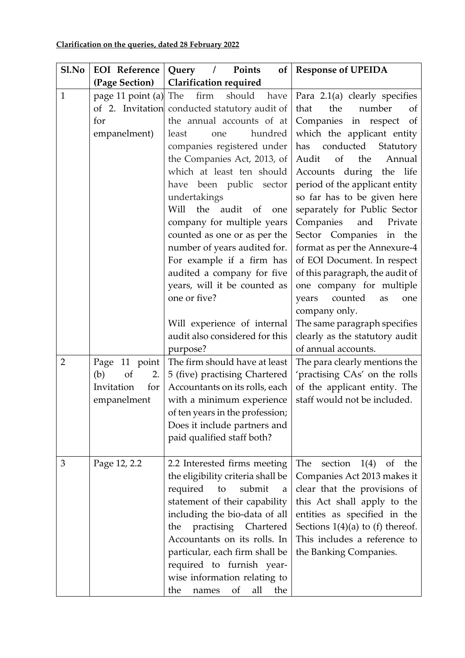| Sl.No                          | <b>EOI</b> Reference                                                                                                 | Points<br>Query /<br>of <sub>l</sub>                                                                                                                                                                                                                                                                                                                                                                                                                                                                                                                                                                                                                                                                                                                                           | <b>Response of UPEIDA</b>                                                                                                                                                                                                                                                                                                                                                                                                                                                                                                                                                                                                                                                                                                                                                                                 |
|--------------------------------|----------------------------------------------------------------------------------------------------------------------|--------------------------------------------------------------------------------------------------------------------------------------------------------------------------------------------------------------------------------------------------------------------------------------------------------------------------------------------------------------------------------------------------------------------------------------------------------------------------------------------------------------------------------------------------------------------------------------------------------------------------------------------------------------------------------------------------------------------------------------------------------------------------------|-----------------------------------------------------------------------------------------------------------------------------------------------------------------------------------------------------------------------------------------------------------------------------------------------------------------------------------------------------------------------------------------------------------------------------------------------------------------------------------------------------------------------------------------------------------------------------------------------------------------------------------------------------------------------------------------------------------------------------------------------------------------------------------------------------------|
|                                | (Page Section)                                                                                                       | <b>Clarification required</b>                                                                                                                                                                                                                                                                                                                                                                                                                                                                                                                                                                                                                                                                                                                                                  |                                                                                                                                                                                                                                                                                                                                                                                                                                                                                                                                                                                                                                                                                                                                                                                                           |
| $\mathbf{1}$<br>$\overline{2}$ | page 11 point (a) The<br>for<br>empanelment)<br>Page 11 point<br>(b)<br>of<br>2.<br>Invitation<br>for<br>empanelment | firm<br>should<br>have<br>of 2. Invitation conducted statutory audit of<br>the annual accounts of at<br>hundred<br>least<br>one<br>companies registered under<br>the Companies Act, 2013, of<br>which at least ten should<br>have been public sector<br>undertakings<br>Will<br>the<br>audit<br><sub>of</sub><br>one<br>company for multiple years<br>counted as one or as per the<br>number of years audited for.<br>For example if a firm has<br>audited a company for five<br>years, will it be counted as<br>one or five?<br>Will experience of internal<br>audit also considered for this<br>purpose?<br>The firm should have at least<br>5 (five) practising Chartered<br>Accountants on its rolls, each<br>with a minimum experience<br>of ten years in the profession; | Para 2.1(a) clearly specifies<br>the<br>number<br>that<br><sub>of</sub><br>Companies in respect of<br>which the applicant entity<br>conducted<br>Statutory<br>has<br>Audit<br>of<br>the<br>Annual<br>Accounts during<br>the<br>life<br>period of the applicant entity<br>so far has to be given here<br>separately for Public Sector<br>Companies<br>and<br>Private<br>Sector Companies in the<br>format as per the Annexure-4<br>of EOI Document. In respect<br>of this paragraph, the audit of<br>one company for multiple<br>counted<br>years<br>as<br>one<br>company only.<br>The same paragraph specifies<br>clearly as the statutory audit<br>of annual accounts.<br>The para clearly mentions the<br>'practising CAs' on the rolls<br>of the applicant entity. The<br>staff would not be included. |
|                                |                                                                                                                      | Does it include partners and<br>paid qualified staff both?                                                                                                                                                                                                                                                                                                                                                                                                                                                                                                                                                                                                                                                                                                                     |                                                                                                                                                                                                                                                                                                                                                                                                                                                                                                                                                                                                                                                                                                                                                                                                           |
| 3                              | Page 12, 2.2                                                                                                         | 2.2 Interested firms meeting<br>the eligibility criteria shall be<br>required<br>to<br>submit<br>a<br>statement of their capability<br>including the bio-data of all<br>practising Chartered<br>the<br>Accountants on its rolls. In<br>particular, each firm shall be<br>required to furnish year-<br>wise information relating to<br>of<br>all<br>the<br>the<br>names                                                                                                                                                                                                                                                                                                                                                                                                         | The<br>section<br>1(4)<br><sub>of</sub><br>the<br>Companies Act 2013 makes it<br>clear that the provisions of<br>this Act shall apply to the<br>entities as specified in the<br>Sections $1(4)(a)$ to (f) thereof.<br>This includes a reference to<br>the Banking Companies.                                                                                                                                                                                                                                                                                                                                                                                                                                                                                                                              |